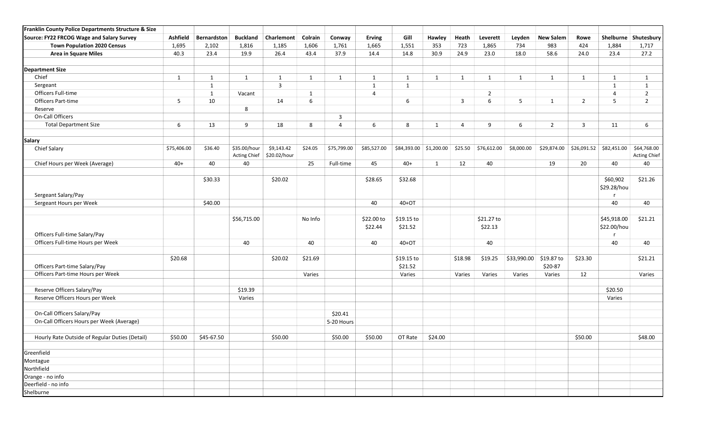| Franklin County Police Departments Structure & Size |                 |              |                                     |                            |              |                |                       |                       |                        |                |                       |              |                       |                |                            |                                    |
|-----------------------------------------------------|-----------------|--------------|-------------------------------------|----------------------------|--------------|----------------|-----------------------|-----------------------|------------------------|----------------|-----------------------|--------------|-----------------------|----------------|----------------------------|------------------------------------|
| Source: FY22 FRCOG Wage and Salary Survey           | <b>Ashfield</b> | Bernardston  | <b>Buckland</b>                     | Charlemont                 | Colrain      | Conway         | <b>Erving</b>         | Gill                  | Hawley                 | Heath          | Leverett              | Leyden       | <b>New Salem</b>      | Rowe           | Shelburne                  | Shutesbury                         |
| <b>Town Population 2020 Census</b>                  | 1,695           | 2,102        | 1,816                               | 1,185                      | 1,606        | 1,761          | 1,665                 | 1,551                 | 353                    | 723            | 1,865                 | 734          | 983                   | 424            | 1,884                      | 1,717                              |
| <b>Area in Square Miles</b>                         | 40.3            | 23.4         | 19.9                                | 26.4                       | 43.4         | 37.9           | 14.4                  | 14.8                  | 30.9                   | 24.9           | 23.0                  | 18.0         | 58.6                  | 24.0           | 23.4                       | 27.2                               |
| <b>Department Size</b>                              |                 |              |                                     |                            |              |                |                       |                       |                        |                |                       |              |                       |                |                            |                                    |
| Chief                                               | $\mathbf{1}$    | $\mathbf{1}$ | 1                                   | $\mathbf{1}$               | $\mathbf{1}$ | 1              | $\mathbf{1}$          | $\mathbf{1}$          | $\mathbf{1}$           | $\mathbf{1}$   | $\mathbf{1}$          | $\mathbf{1}$ | $\mathbf{1}$          | 1              | $\mathbf{1}$               | $\mathbf{1}$                       |
| Sergeant                                            |                 | $\mathbf{1}$ |                                     | $\overline{\mathbf{3}}$    |              |                | $\mathbf{1}$          | $\mathbf{1}$          |                        |                |                       |              |                       |                | 1                          | 1                                  |
| Officers Full-time                                  |                 | $\mathbf{1}$ | Vacant                              |                            | 1            |                | $\overline{4}$        |                       |                        |                | $\overline{2}$        |              |                       |                | $\overline{4}$             | $\overline{2}$                     |
| <b>Officers Part-time</b>                           | 5               | 10           |                                     | 14                         | 6            |                |                       | 6                     |                        | $\overline{3}$ | 6                     | 5            | $\mathbf{1}$          | $\overline{2}$ | 5                          | $\overline{2}$                     |
| Reserve                                             |                 |              | 8                                   |                            |              |                |                       |                       |                        |                |                       |              |                       |                |                            |                                    |
| On-Call Officers                                    |                 |              |                                     |                            |              | 3              |                       |                       |                        |                |                       |              |                       |                |                            |                                    |
| <b>Total Department Size</b>                        | 6               | 13           | 9                                   | 18                         | 8            | $\overline{4}$ | 6                     | 8                     | 1                      | $\overline{4}$ | 9                     | 6            | $2^{\circ}$           | 3              | 11                         | 6                                  |
| <b>Salary</b>                                       |                 |              |                                     |                            |              |                |                       |                       |                        |                |                       |              |                       |                |                            |                                    |
| <b>Chief Salary</b>                                 | \$75,406.00     | \$36.40      | \$35.00/hour<br><b>Acting Chief</b> | \$9,143.42<br>\$20.02/hour | \$24.05      | \$75,799.00    | \$85,527.00           |                       | \$84,393.00 \$1,200.00 | \$25.50        | \$76,612.00           | \$8,000.00   | \$29,874.00           | \$26,091.52    | \$82,451.00                | \$64,768.00<br><b>Acting Chief</b> |
| Chief Hours per Week (Average)                      | $40+$           | 40           | 40                                  |                            | 25           | Full-time      | 45                    | $40+$                 | $\mathbf{1}$           | 12             | 40                    |              | 19                    | 20             | 40                         | 40                                 |
|                                                     |                 |              |                                     |                            |              |                |                       |                       |                        |                |                       |              |                       |                |                            |                                    |
|                                                     |                 | \$30.33      |                                     | \$20.02                    |              |                | \$28.65               | \$32.68               |                        |                |                       |              |                       |                | \$60,902<br>\$29.28/hou    | \$21.26                            |
| Sergeant Salary/Pay                                 |                 |              |                                     |                            |              |                |                       |                       |                        |                |                       |              |                       |                |                            |                                    |
| Sergeant Hours per Week                             |                 | \$40.00      |                                     |                            |              |                | 40                    | 40+OT                 |                        |                |                       |              |                       |                | 40                         | 40                                 |
| Officers Full-time Salary/Pay                       |                 |              | \$56,715.00                         |                            | No Info      |                | \$22.00 to<br>\$22.44 | \$19.15 to<br>\$21.52 |                        |                | \$21.27 to<br>\$22.13 |              |                       |                | \$45,918.00<br>\$22.00/hou | \$21.21                            |
| Officers Full-time Hours per Week                   |                 |              | 40                                  |                            | 40           |                | 40                    | 40+OT                 |                        |                | 40                    |              |                       |                | 40                         | 40                                 |
|                                                     |                 |              |                                     |                            |              |                |                       |                       |                        |                |                       |              |                       |                |                            |                                    |
| Officers Part-time Salary/Pay                       | \$20.68         |              |                                     | \$20.02                    | \$21.69      |                |                       | \$19.15 to<br>\$21.52 |                        | \$18.98        | \$19.25               | \$33,990.00  | \$19.87 to<br>\$20-87 | \$23.30        |                            | \$21.21                            |
| Officers Part-time Hours per Week                   |                 |              |                                     |                            | Varies       |                |                       | Varies                |                        | Varies         | Varies                | Varies       | Varies                | 12             |                            | Varies                             |
|                                                     |                 |              |                                     |                            |              |                |                       |                       |                        |                |                       |              |                       |                |                            |                                    |
| Reserve Officers Salary/Pay                         |                 |              | \$19.39                             |                            |              |                |                       |                       |                        |                |                       |              |                       |                | \$20.50                    |                                    |
| Reserve Officers Hours per Week                     |                 |              | Varies                              |                            |              |                |                       |                       |                        |                |                       |              |                       |                | Varies                     |                                    |
| On-Call Officers Salary/Pay                         |                 |              |                                     |                            |              | \$20.41        |                       |                       |                        |                |                       |              |                       |                |                            |                                    |
| On-Call Officers Hours per Week (Average)           |                 |              |                                     |                            |              | 5-20 Hours     |                       |                       |                        |                |                       |              |                       |                |                            |                                    |
| Hourly Rate Outside of Regular Duties (Detail)      | \$50.00         | \$45-67.50   |                                     | \$50.00                    |              | \$50.00        | \$50.00               | OT Rate               | \$24.00                |                |                       |              |                       | \$50.00        |                            | \$48.00                            |
| Greenfield                                          |                 |              |                                     |                            |              |                |                       |                       |                        |                |                       |              |                       |                |                            |                                    |
| Montague                                            |                 |              |                                     |                            |              |                |                       |                       |                        |                |                       |              |                       |                |                            |                                    |
| Northfield                                          |                 |              |                                     |                            |              |                |                       |                       |                        |                |                       |              |                       |                |                            |                                    |
| Orange - no info                                    |                 |              |                                     |                            |              |                |                       |                       |                        |                |                       |              |                       |                |                            |                                    |
| Deerfield - no info                                 |                 |              |                                     |                            |              |                |                       |                       |                        |                |                       |              |                       |                |                            |                                    |
| Shelburne                                           |                 |              |                                     |                            |              |                |                       |                       |                        |                |                       |              |                       |                |                            |                                    |